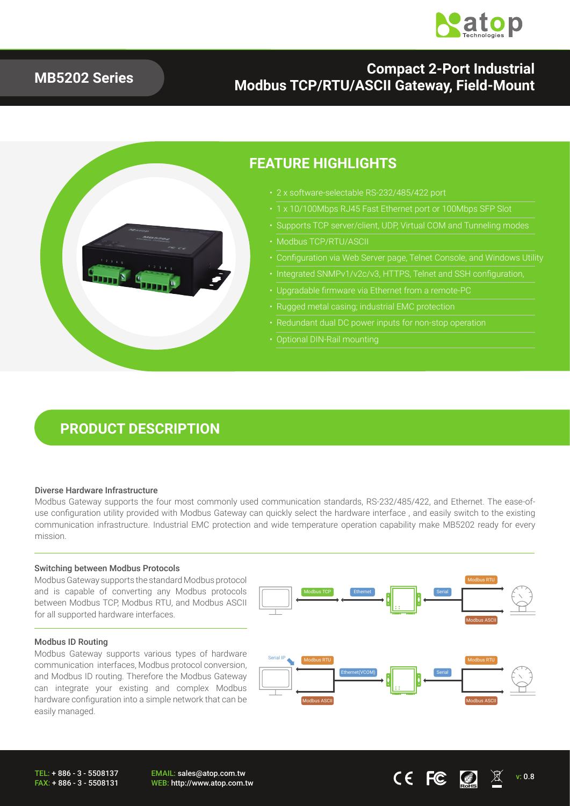

### **MB5202 Series**

### **Compact 2-Port Industrial Modbus TCP/RTU/ASCII Gateway, Field-Mount**



### **FEATURE HIGHLIGHTS**

- 
- 1 x 10/100Mbps RJ45 Fast Ethernet port or 100Mbps SFP Slot
- Supports TCP server/client, UDP, Virtual COM and Tunneling modes
- Modbus TCP/RTU/ASCII
- Configuration via Web Server page, Telnet Console, and Windows Utility
- Integrated SNMPv1/v2c/v3, HTTPS, Telnet and SSH configuration,
- Upgradable firmware via Ethernet from a remote-PC
- Rugged metal casing; industrial EMC protection
- 
- 

## **PRODUCT DESCRIPTION**

#### Diverse Hardware Infrastructure

Modbus Gateway supports the four most commonly used communication standards, RS-232/485/422, and Ethernet. The ease-ofuse configuration utility provided with Modbus Gateway can quickly select the hardware interface , and easily switch to the existing communication infrastructure. Industrial EMC protection and wide temperature operation capability make MB5202 ready for every mission.

#### Switching between Modbus Protocols

Modbus Gateway supports the standard Modbus protocol and is capable of converting any Modbus protocols between Modbus TCP, Modbus RTU, and Modbus ASCII for all supported hardware interfaces.

#### Modbus ID Routing

Modbus Gateway supports various types of hardware communication interfaces, Modbus protocol conversion, and Modbus ID routing. Therefore the Modbus Gateway can integrate your existing and complex Modbus hardware configuration into a simple network that can be easily managed.

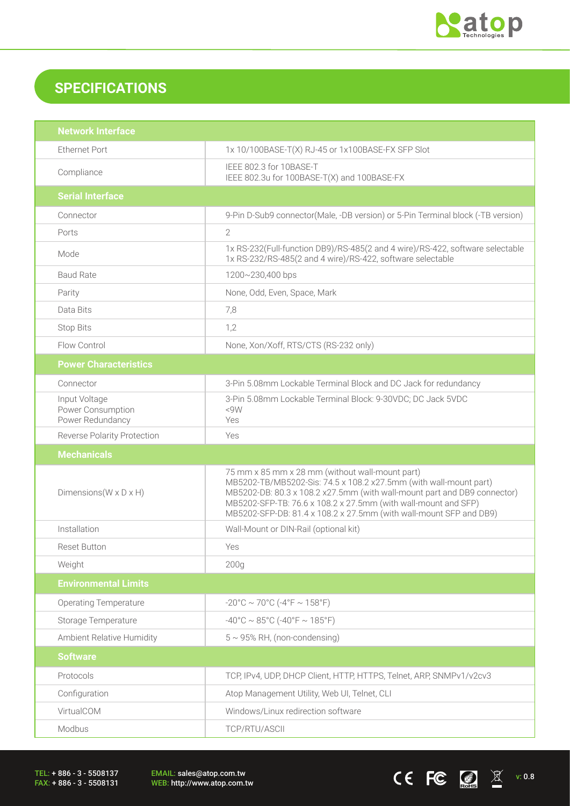

CEFC  $\Box$   $\mathbb{Z}$  v: 0.8

## **SPECIFICATIONS**

| <b>Network Interface</b>                               |                                                                                                                                                                                                                                                                                                                                          |  |  |
|--------------------------------------------------------|------------------------------------------------------------------------------------------------------------------------------------------------------------------------------------------------------------------------------------------------------------------------------------------------------------------------------------------|--|--|
| <b>Ethernet Port</b>                                   | 1x 10/100BASE-T(X) RJ-45 or 1x100BASE-FX SFP Slot                                                                                                                                                                                                                                                                                        |  |  |
| Compliance                                             | IEEE 802.3 for 10BASE-T<br>IEEE 802.3u for 100BASE-T(X) and 100BASE-FX                                                                                                                                                                                                                                                                   |  |  |
| <b>Serial Interface</b>                                |                                                                                                                                                                                                                                                                                                                                          |  |  |
| Connector                                              | 9-Pin D-Sub9 connector(Male, -DB version) or 5-Pin Terminal block (-TB version)                                                                                                                                                                                                                                                          |  |  |
| Ports                                                  | $\overline{2}$                                                                                                                                                                                                                                                                                                                           |  |  |
| Mode                                                   | 1x RS-232(Full-function DB9)/RS-485(2 and 4 wire)/RS-422, software selectable<br>1x RS-232/RS-485(2 and 4 wire)/RS-422, software selectable                                                                                                                                                                                              |  |  |
| <b>Baud Rate</b>                                       | 1200~230,400 bps                                                                                                                                                                                                                                                                                                                         |  |  |
| Parity                                                 | None, Odd, Even, Space, Mark                                                                                                                                                                                                                                                                                                             |  |  |
| Data Bits                                              | 7,8                                                                                                                                                                                                                                                                                                                                      |  |  |
| <b>Stop Bits</b>                                       | 1,2                                                                                                                                                                                                                                                                                                                                      |  |  |
| Flow Control                                           | None, Xon/Xoff, RTS/CTS (RS-232 only)                                                                                                                                                                                                                                                                                                    |  |  |
| <b>Power Characteristics</b>                           |                                                                                                                                                                                                                                                                                                                                          |  |  |
| Connector                                              | 3-Pin 5.08mm Lockable Terminal Block and DC Jack for redundancy                                                                                                                                                                                                                                                                          |  |  |
| Input Voltage<br>Power Consumption<br>Power Redundancy | 3-Pin 5.08mm Lockable Terminal Block: 9-30VDC; DC Jack 5VDC<br><9W<br>Yes                                                                                                                                                                                                                                                                |  |  |
| <b>Reverse Polarity Protection</b>                     | Yes                                                                                                                                                                                                                                                                                                                                      |  |  |
|                                                        |                                                                                                                                                                                                                                                                                                                                          |  |  |
| <b>Mechanicals</b>                                     |                                                                                                                                                                                                                                                                                                                                          |  |  |
| Dimensions ( $W \times D \times H$ )                   | 75 mm x 85 mm x 28 mm (without wall-mount part)<br>MB5202-TB/MB5202-Sis: 74.5 x 108.2 x27.5mm (with wall-mount part)<br>MB5202-DB: 80.3 x 108.2 x27.5mm (with wall-mount part and DB9 connector)<br>MB5202-SFP-TB: 76.6 x 108.2 x 27.5mm (with wall-mount and SFP)<br>MB5202-SFP-DB: 81.4 x 108.2 x 27.5mm (with wall-mount SFP and DB9) |  |  |
| Installation                                           | Wall-Mount or DIN-Rail (optional kit)                                                                                                                                                                                                                                                                                                    |  |  |
| <b>Reset Button</b>                                    | Yes                                                                                                                                                                                                                                                                                                                                      |  |  |
| Weight                                                 | 200 <sub>g</sub>                                                                                                                                                                                                                                                                                                                         |  |  |
| <b>Environmental Limits</b>                            |                                                                                                                                                                                                                                                                                                                                          |  |  |
| <b>Operating Temperature</b>                           | $-20^{\circ}$ C ~ 70°C ( $-4^{\circ}$ F ~ 158°F)                                                                                                                                                                                                                                                                                         |  |  |
| Storage Temperature                                    | $-40^{\circ}$ C ~ 85°C (-40°F ~ 185°F)                                                                                                                                                                                                                                                                                                   |  |  |
| Ambient Relative Humidity                              | $5 \sim 95\%$ RH, (non-condensing)                                                                                                                                                                                                                                                                                                       |  |  |
| <b>Software</b>                                        |                                                                                                                                                                                                                                                                                                                                          |  |  |
| Protocols                                              | TCP, IPv4, UDP, DHCP Client, HTTP, HTTPS, Telnet, ARP, SNMPv1/v2cv3                                                                                                                                                                                                                                                                      |  |  |
| Configuration                                          | Atop Management Utility, Web UI, Telnet, CLI                                                                                                                                                                                                                                                                                             |  |  |
| VirtualCOM                                             | Windows/Linux redirection software                                                                                                                                                                                                                                                                                                       |  |  |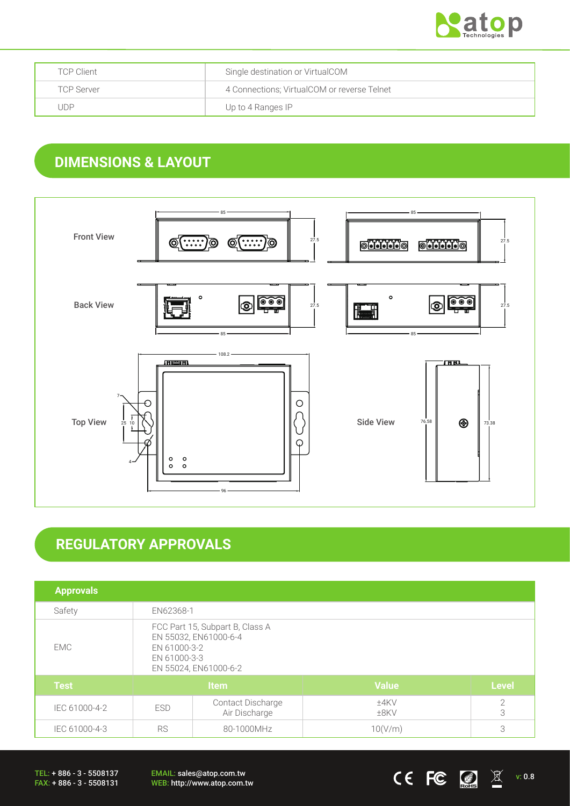

| <b>TCP Client</b> | Single destination or VirtualCOM            |
|-------------------|---------------------------------------------|
| <b>TCP Server</b> | 4 Connections; VirtualCOM or reverse Telnet |
| . JDP             | Up to 4 Ranges IP                           |

## **DIMENSIONS & LAYOUT**



# **REGULATORY APPROVALS**

| <b>Approvals</b> |                                                                                                                   |                                           |                    |                     |
|------------------|-------------------------------------------------------------------------------------------------------------------|-------------------------------------------|--------------------|---------------------|
| Safety           | EN62368-1                                                                                                         |                                           |                    |                     |
| EMC.             | FCC Part 15, Subpart B, Class A<br>EN 55032, EN61000-6-4<br>EN 61000-3-2<br>EN 61000-3-3<br>EN 55024, EN61000-6-2 |                                           |                    |                     |
| <b>Test</b>      | <b>Item</b>                                                                                                       |                                           | <b>Value</b>       | <b>Level</b>        |
| IEC 61000-4-2    | <b>ESD</b>                                                                                                        | <b>Contact Discharge</b><br>Air Discharge | $±4$ KV<br>$±8$ KV | $\overline{2}$<br>3 |
| IEC 61000-4-3    | <b>RS</b><br>80-1000MHz                                                                                           |                                           | 10(V/m)            | 3                   |